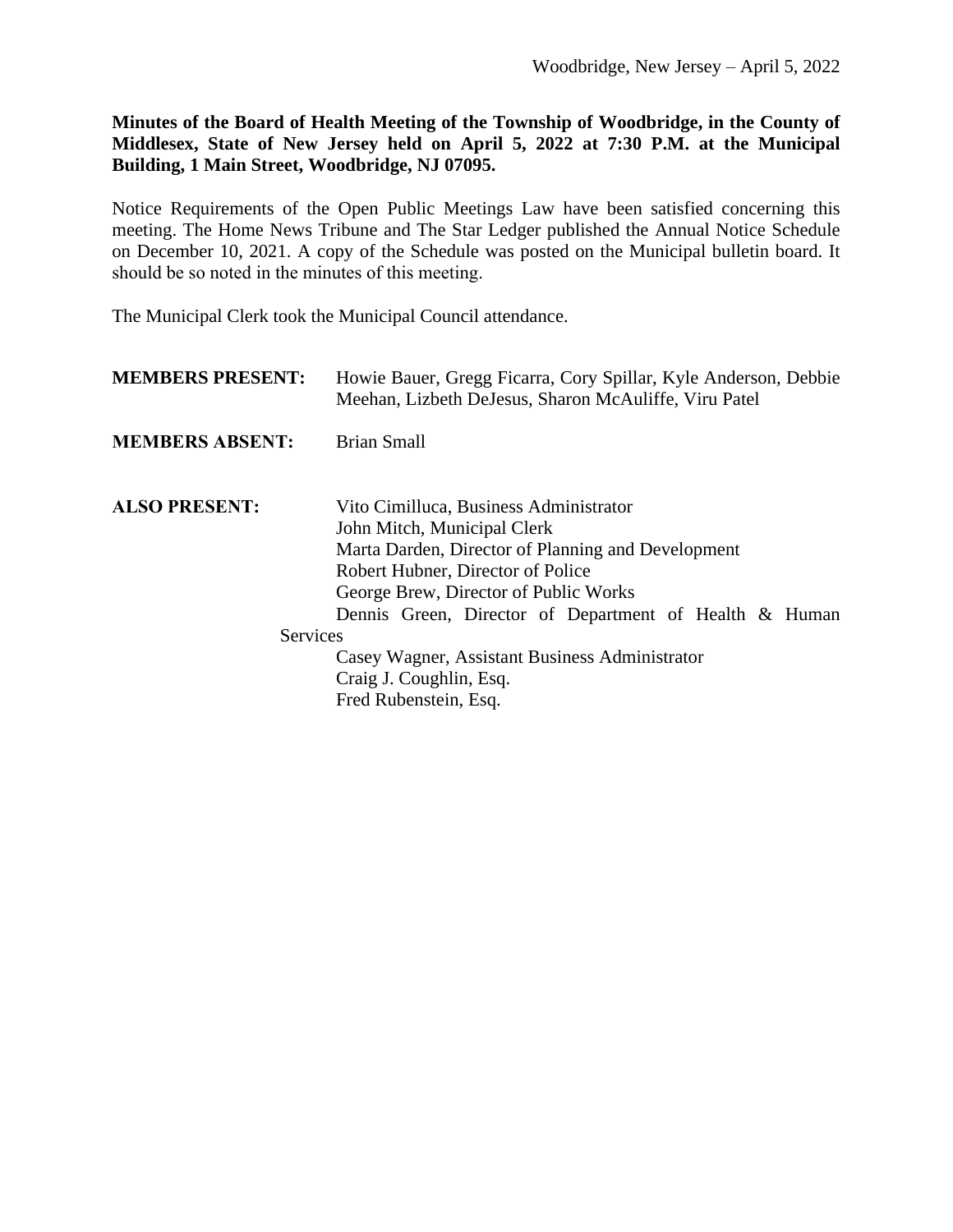**Minutes of the Board of Health Meeting of the Township of Woodbridge, in the County of Middlesex, State of New Jersey held on April 5, 2022 at 7:30 P.M. at the Municipal Building, 1 Main Street, Woodbridge, NJ 07095.**

Notice Requirements of the Open Public Meetings Law have been satisfied concerning this meeting. The Home News Tribune and The Star Ledger published the Annual Notice Schedule on December 10, 2021. A copy of the Schedule was posted on the Municipal bulletin board. It should be so noted in the minutes of this meeting.

The Municipal Clerk took the Municipal Council attendance.

| <b>MEMBERS PRESENT:</b> | Howie Bauer, Gregg Ficarra, Cory Spillar, Kyle Anderson, Debbie<br>Meehan, Lizbeth DeJesus, Sharon McAuliffe, Viru Patel                                                                                                                                                                                                                                                              |
|-------------------------|---------------------------------------------------------------------------------------------------------------------------------------------------------------------------------------------------------------------------------------------------------------------------------------------------------------------------------------------------------------------------------------|
| <b>MEMBERS ABSENT:</b>  | <b>Brian Small</b>                                                                                                                                                                                                                                                                                                                                                                    |
| <b>ALSO PRESENT:</b>    | Vito Cimilluca, Business Administrator<br>John Mitch, Municipal Clerk<br>Marta Darden, Director of Planning and Development<br>Robert Hubner, Director of Police<br>George Brew, Director of Public Works<br>Dennis Green, Director of Department of Health & Human<br>Services<br>Casey Wagner, Assistant Business Administrator<br>Craig J. Coughlin, Esq.<br>Fred Rubenstein, Esq. |